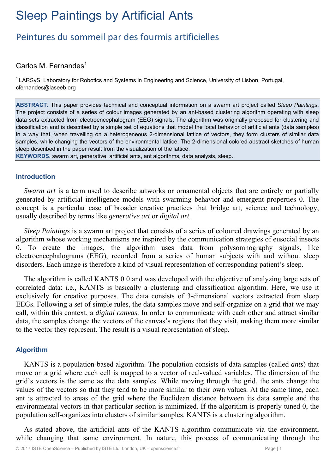# Sleep Paintings by Artificial Ants

# Peintures du sommeil par des fourmis artificielles

# Carlos M. Fernandes $<sup>1</sup>$ </sup>

<sup>1</sup> LARSyS: Laboratory for Robotics and Systems in Engineering and Science, University of Lisbon, Portugal, cfernandes@laseeb.org

**ABSTRACT.** This paper provides technical and conceptual information on a swarm art project called *Sleep Paintings*. The project consists of a series of colour images generated by an ant-based clustering algorithm operating with sleep data sets extracted from electroencephalogram (EEG) signals. The algorithm was originally proposed for clustering and classification and is described by a simple set of equations that model the local behavior of artificial ants (data samples) in a way that, when travelling on a heterogeneous 2-dimensional lattice of vectors, they form clusters of similar data samples, while changing the vectors of the environmental lattice. The 2-dimensional colored abstract sketches of human sleep described in the paper result from the visualization of the lattice.

**KEYWORDS.** swarm art, generative, artificial ants, ant algorithms, data analysis, sleep.

# **Introduction**

*Swarm art* is a term used to describe artworks or ornamental objects that are entirely or partially generated by artificial intelligence models with swarming behavior and emergent properties 0. The concept is a particular case of broader creative practices that bridge art, science and technology, usually described by terms like *generative art* or *digital art*.

*Sleep Paintings* is a swarm art project that consists of a series of coloured drawings generated by an algorithm whose working mechanisms are inspired by the communication strategies of eusocial insects 0. To create the images, the algorithm uses data from polysomnography signals, like electroencephalograms (EEG), recorded from a series of human subjects with and without sleep disorders. Each image is therefore a kind of visual representation of corresponding patient's sleep.

The algorithm is called KANTS 0 0 and was developed with the objective of analyzing large sets of correlated data: i.e., KANTS is basically a clustering and classification algorithm. Here, we use it exclusively for creative purposes. The data consists of 3-dimensional vectors extracted from sleep EEGs. Following a set of simple rules, the data samples move and self-organize on a grid that we may call, within this context, a *digital canvas*. In order to communicate with each other and attract similar data, the samples change the vectors of the canvas's regions that they visit, making them more similar to the vector they represent. The result is a visual representation of sleep.

# **Algorithm**

KANTS is a population-based algorithm. The population consists of data samples (called *ants*) that move on a grid where each cell is mapped to a vector of real-valued variables. The dimension of the grid's vectors is the same as the data samples. While moving through the grid, the ants change the values of the vectors so that they tend to be more similar to their own values. At the same time, each ant is attracted to areas of the grid where the Euclidean distance between its data sample and the environmental vectors in that particular section is minimized. If the algorithm is properly tuned 0, the population self-organizes into clusters of similar samples. KANTS is a clustering algorithm.

As stated above, the artificial ants of the KANTS algorithm communicate via the environment, while changing that same environment. In nature, this process of communicating through the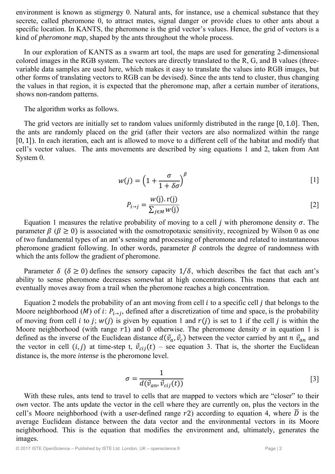environment is known as stigmergy 0. Natural ants, for instance, use a chemical substance that they secrete, called pheromone 0, to attract mates, signal danger or provide clues to other ants about a specific location. In KANTS, the pheromone is the grid vector's values. Hence, the grid of vectors is a kind of *pheromone map*, shaped by the ants throughout the whole process.

In our exploration of KANTS as a swarm art tool, the maps are used for generating 2-dimensional colored images in the RGB system. The vectors are directly translated to the R, G, and B values (threevariable data samples are used here, which makes it easy to translate the values into RGB images, but other forms of translating vectors to RGB can be devised). Since the ants tend to cluster, thus changing the values in that region, it is expected that the pheromone map, after a certain number of iterations, shows non-random patterns.

The algorithm works as follows.

The grid vectors are initially set to random values uniformly distributed in the range  $[0, 1.0]$ . Then, the ants are randomly placed on the grid (after their vectors are also normalized within the range  $[0, 1]$ ). In each iteration, each ant is allowed to move to a different cell of the habitat and modify that cell's vector values. The ants movements are described by sing equations 1 and 2, taken from Ant System 0.

$$
w(j) = \left(1 + \frac{\sigma}{1 + \delta \sigma}\right)^{\beta} \tag{1}
$$

$$
P_{i \to j} = \frac{w(j). \, r(j)}{\sum_{j \in M} w(j)} \tag{2}
$$

Equation 1 measures the relative probability of moving to a cell *j* with pheromone density  $\sigma$ . The parameter  $\beta$  ( $\beta \ge 0$ ) is associated with the osmotropotaxic sensitivity, recognized by Wilson 0 as one of two fundamental types of an ant's sensing and processing of pheromone and related to instantaneous pheromone gradient following. In other words, parameter  $\beta$  controls the degree of randomness with which the ants follow the gradient of pheromone.

Parameter  $\delta$  ( $\delta \ge 0$ ) defines the sensory capacity 1/ $\delta$ , which describes the fact that each ant's ability to sense pheromone decreases somewhat at high concentrations. This means that each ant eventually moves away from a trail when the pheromone reaches a high concentration.

Equation 2 models the probability of an ant moving from cell  $i$  to a specific cell  $j$  that belongs to the Moore neighborhood ( $M$ ) of i:  $P_{i\rightarrow i}$ , defined after a discretization of time and space, is the probability of moving from cell *i* to *j*;  $w(j)$  is given by equation 1 and  $r(j)$  is set to 1 if the cell *j* is within the Moore neighborhood (with range  $r1$ ) and 0 otherwise. The pheromone density  $\sigma$  in equation 1 is defined as the inverse of the Euclidean distance  $d(\vec{v}_a, \vec{v}_c)$  between the vector carried by ant n  $\vec{v}_{an}$  and the vector in cell  $(i, j)$  at time-step t,  $\vec{v}_{cij}(t)$  – see equation 3. That is, the shorter the Euclidean distance is, the more *intense* is the pheromone level.

$$
\sigma = \frac{1}{d(\vec{v}_{an}, \vec{v}_{cij}(t))}
$$
 [3]

With these rules, ants tend to travel to cells that are mapped to vectors which are "closer" to their *own* vector. The ants update the vector in the cell where they are currently on, plus the vectors in the cell's Moore neighborhood (with a user-defined range  $r2$ ) according to equation 4, where  $\overline{D}$  is the average Euclidean distance between the data vector and the environmental vectors in its Moore neighborhood. This is the equation that modifies the environment and, ultimately, generates the images.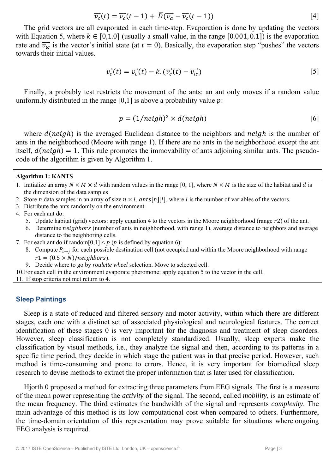$$
\overrightarrow{v_c}(t) = \overrightarrow{v_c}(t-1) + \overrightarrow{D}(\overrightarrow{v_a} - \overrightarrow{v_c}(t-1))
$$
\n<sup>[4]</sup>

The grid vectors are all evaporated in each time-step. Evaporation is done by updating the vectors with Equation 5, where  $k \in [0,1.0]$  (usually a small value, in the range  $[0.001, 0.1]$ ) is the evaporation rate and  $\overrightarrow{v_{i}}$  is the vector's initial state (at  $t = 0$ ). Basically, the evaporation step "pushes" the vectors towards their initial values.

$$
\overrightarrow{v_c}(t) = \overrightarrow{v_c}(t) - k \cdot (\overrightarrow{v_c}(t) - \overrightarrow{v_{ic}})
$$
\n
$$
\tag{5}
$$

Finally, a probably test restricts the movement of the ants: an ant only moves if a random value uniform.ly distributed in the range  $[0,1]$  is above a probability value  $p$ :

$$
p = (1/neigh)^2 \times d(neigh)
$$
 [6]

where  $d(neigh)$  is the averaged Euclidean distance to the neighbors and  $neigh$  is the number of ants in the neighborhood (Moore with range 1). If there are no ants in the neighborhood except the ant itself,  $d(neigh) = 1$ . This rule promotes the immovability of ants adjoining similar ants. The pseudocode of the algorithm is given by Algorithm 1.

#### **Algorithm 1: KANTS**

- 1. Initialize an array  $N \times M \times d$  with random values in the range [0, 1], where  $N \times M$  is the size of the habitat and d is the dimension of the data samples
- 2. Store *n* data samples in an array of size  $n \times l$ , ants[n][l], where l is the number of variables of the vectors.
- 3. Distribute the ants randomly on the environment.
- 4. For each ant do:
	- 5. Update habitat (grid) vectors: apply equation 4 to the vectors in the Moore neighborhood (range  $r^2$ ) of the ant.
	- 6. Determine *neighbors* (number of ants in neighborhood, with range 1), average distance to neighbors and average distance to the neighboring cells.
- 7. For each ant do if random  $[0,1] < p$  (p is defined by equation 6):
	- 8. Compute  $P_{i\to j}$  for each possible destination cell (not occupied and within the Moore neighborhood with range  $r1 = (0.5 \times N)/neighbors)$ .
	- 9. Decide where to go by *roulette wheel* selection. Move to selected cell.

10.For each cell in the environment evaporate pheromone: apply equation 5 to the vector in the cell.

11. If stop criteria not met return to 4.

#### **Sleep Paintings**

Sleep is a state of reduced and filtered sensory and motor activity, within which there are different stages, each one with a distinct set of associated physiological and neurological features. The correct identification of these stages 0 is very important for the diagnosis and treatment of sleep disorders. However, sleep classification is not completely standardized. Usually, sleep experts make the classification by visual methods, i.e., they analyze the signal and then, according to its patterns in a specific time period, they decide in which stage the patient was in that precise period. However, such method is time-consuming and prone to errors. Hence, it is very important for biomedical sleep research to devise methods to extract the proper information that is later used for classification.

Hjorth 0 proposed a method for extracting three parameters from EEG signals. The first is a measure of the mean power representing the *activity* of the signal. The second, called *mobility*, is an estimate of the mean frequency. The third estimates the bandwidth of the signal and represents *complexity*. The main advantage of this method is its low computational cost when compared to others. Furthermore, the time-domain orientation of this representation may prove suitable for situations where ongoing EEG analysis is required.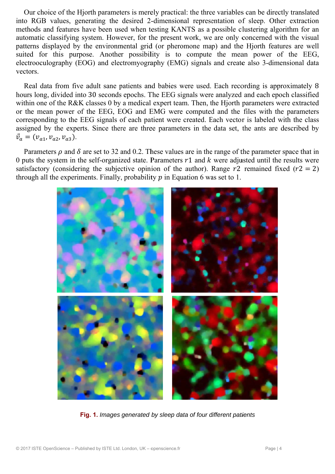Our choice of the Hjorth parameters is merely practical: the three variables can be directly translated into RGB values, generating the desired 2-dimensional representation of sleep. Other extraction methods and features have been used when testing KANTS as a possible clustering algorithm for an automatic classifying system. However, for the present work, we are only concerned with the visual patterns displayed by the environmental grid (or pheromone map) and the Hjorth features are well suited for this purpose. Another possibility is to compute the mean power of the EEG, electrooculography (EOG) and electromyography (EMG) signals and create also 3-dimensional data vectors.

Real data from five adult sane patients and babies were used. Each recording is approximately 8 hours long, divided into 30 seconds epochs. The EEG signals were analyzed and each epoch classified within one of the R&K classes 0 by a medical expert team. Then, the Hiorth parameters were extracted or the mean power of the EEG, EOG and EMG were computed and the files with the parameters corresponding to the EEG signals of each patient were created. Each vector is labeled with the class assigned by the experts. Since there are three parameters in the data set, the ants are described by  $\vec{v}_a = (v_{a1}, v_{a2}, v_{a3}).$ 

Parameters  $\rho$  and  $\delta$  are set to 32 and 0.2. These values are in the range of the parameter space that in 0 puts the system in the self-organized state. Parameters  $r1$  and k were adjusted until the results were satisfactory (considering the subjective opinion of the author). Range  $r2$  remained fixed ( $r2 = 2$ ) through all the experiments. Finally, probability  $p$  in Equation 6 was set to 1.



Fig. 1. Images generated by sleep data of four different patients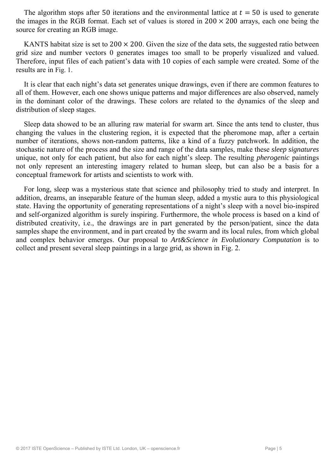The algorithm stops after 50 iterations and the environmental lattice at  $t = 50$  is used to generate the images in the RGB format. Each set of values is stored in  $200 \times 200$  arrays, each one being the source for creating an RGB image.

KANTS habitat size is set to  $200 \times 200$ . Given the size of the data sets, the suggested ratio between grid size and number vectors 0 generates images too small to be properly visualized and valued. Therefore, input files of each patient's data with 10 copies of each sample were created. Some of the results are in Fig. 1.

It is clear that each night's data set generates unique drawings, even if there are common features to all of them. However, each one shows unique patterns and major differences are also observed, namely in the dominant color of the drawings. These colors are related to the dynamics of the sleep and distribution of sleep stages.

Sleep data showed to be an alluring raw material for swarm art. Since the ants tend to cluster, thus changing the values in the clustering region, it is expected that the pheromone map, after a certain number of iterations, shows non-random patterns, like a kind of a fuzzy patchwork. In addition, the stochastic nature of the process and the size and range of the data samples, make these *sleep signatures* unique, not only for each patient, but also for each night's sleep. The resulting *pherogenic* paintings not only represent an interesting imagery related to human sleep, but can also be a basis for a conceptual framework for artists and scientists to work with.

For long, sleep was a mysterious state that science and philosophy tried to study and interpret. In addition, dreams, an inseparable feature of the human sleep, added a mystic aura to this physiological state. Having the opportunity of generating representations of a night's sleep with a novel bio-inspired and self-organized algorithm is surely inspiring. Furthermore, the whole process is based on a kind of distributed creativity, i.e., the drawings are in part generated by the person/patient, since the data samples shape the environment, and in part created by the swarm and its local rules, from which global and complex behavior emerges. Our proposal to *Art&Science in Evolutionary Computation* is to collect and present several sleep paintings in a large grid, as shown in Fig. 2.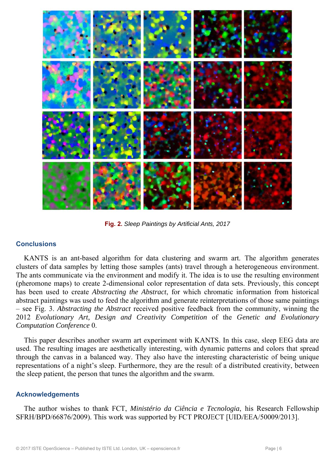

Fig. 2. Sleep Paintings by Artificial Ants, 2017

# **Conclusions**

KANTS is an ant-based algorithm for data clustering and swarm art. The algorithm generates clusters of data samples by letting those samples (ants) travel through a heterogeneous environment. The ants communicate via the environment and modify it. The idea is to use the resulting environment (pheromone maps) to create 2-dimensional color representation of data sets. Previously, this concept has been used to create *Abstracting the Abstract*, for which chromatic information from historical abstract paintings was used to feed the algorithm and generate reinterpretations of those same paintings - see Fig. 3. Abstracting the Abstract received positive feedback from the community, winning the 2012 Evolutionary Art, Design and Creativity Competition of the Genetic and Evolutionary Computation Conference 0.

This paper describes another swarm art experiment with KANTS. In this case, sleep EEG data are used. The resulting images are aesthetically interesting, with dynamic patterns and colors that spread through the canvas in a balanced way. They also have the interesting characteristic of being unique representations of a night's sleep. Furthermore, they are the result of a distributed creativity, between the sleep patient, the person that tunes the algorithm and the swarm.

# **Acknowledgements**

The author wishes to thank FCT, Ministério da Ciência e Tecnologia, his Research Fellowship SFRH/BPD/66876/2009). This work was supported by FCT PROJECT [UID/EEA/50009/2013].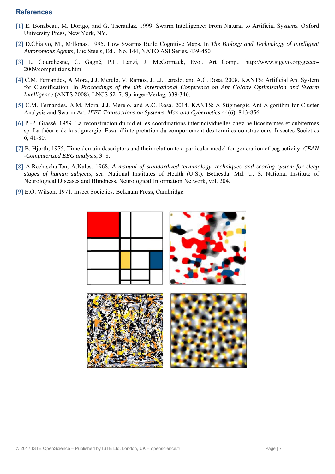#### **References**

- [1] E. Bonabeau, M. Dorigo, and G. Theraulaz. 1999. Swarm Intelligence: From Natural to Artificial Systems. Oxford University Press, New York, NY.
- [2] D.Chialvo, M., Millonas. 1995. How Swarms Build Cognitive Maps. In The Biology and Technology of Intelligent Autonomous Agents, Luc Steels, Ed., No. 144, NATO ASI Series, 439-450
- [3] L. Courchesne, C. Gagné, P.L. Lanzi, J. McCormack, Evol. Art Comp., http://www.sigevo.org/gecco-2009/competitions.html
- [4] C.M. Fernandes, A Mora, J.J. Merelo, V. Ramos, J.L.J. Laredo, and A.C. Rosa. 2008. KANTS: Artificial Ant System for Classification. In Proceedings of the 6th International Conference on Ant Colony Optimization and Swarm Intelligence (ANTS 2008), LNCS 5217, Springer-Verlag, 339-346.
- [5] C.M. Fernandes, A.M. Mora, J.J. Merelo, and A.C. Rosa. 2014. KANTS: A Stigmergic Ant Algorithm for Cluster Analysis and Swarm Art. IEEE Transactions on Systems, Man and Cybernetics 44(6), 843-856.
- [6] P.-P. Grassé. 1959. La reconstrucion du nid et les coordinations interindividuelles chez bellicositermes et cubitermes sp. La théorie de la stigmergie: Essai d'interpretation du comportement des termites constructeurs. Insectes Societies  $6,41-80.$
- [7] B. Hjorth, 1975. Time domain descriptors and their relation to a particular model for generation of eeg activity. CEAN -Computerized EEG analysis, 3-8.
- [8] A.Rechtschaffen, A.Kales. 1968. A manual of standardized terminology, techniques and scoring system for sleep stages of human subjects, ser. National Institutes of Health (U.S.). Bethesda, Md: U. S. National Institute of Neurological Diseases and Blindness, Neurological Information Network, vol. 204.
- [9] E.O. Wilson. 1971. Insect Societies. Belknam Press, Cambridge.